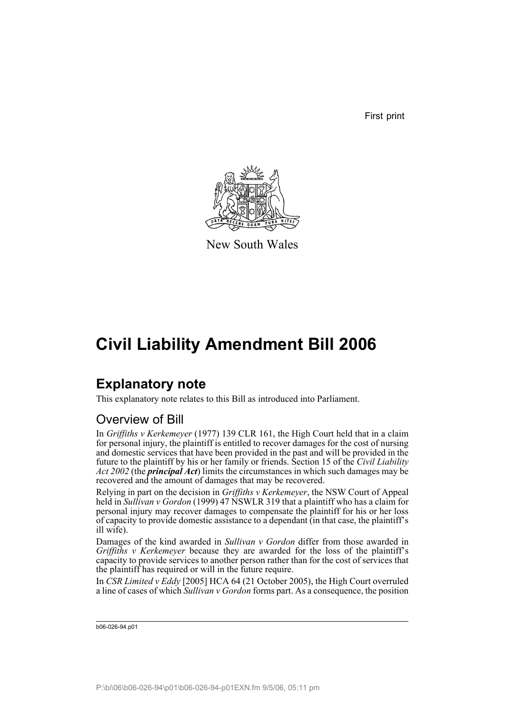First print



New South Wales

## **Civil Liability Amendment Bill 2006**

## **Explanatory note**

This explanatory note relates to this Bill as introduced into Parliament.

### Overview of Bill

In *Griffiths v Kerkemeyer* (1977) 139 CLR 161, the High Court held that in a claim for personal injury, the plaintiff is entitled to recover damages for the cost of nursing and domestic services that have been provided in the past and will be provided in the future to the plaintiff by his or her family or friends. Section 15 of the *Civil Liability Act 2002* (the *principal Act*) limits the circumstances in which such damages may be recovered and the amount of damages that may be recovered.

Relying in part on the decision in *Griffiths v Kerkemeyer*, the NSW Court of Appeal held in *Sullivan v Gordon* (1999) 47 NSWLR 319 that a plaintiff who has a claim for personal injury may recover damages to compensate the plaintiff for his or her loss of capacity to provide domestic assistance to a dependant (in that case, the plaintiff's ill wife).

Damages of the kind awarded in *Sullivan v Gordon* differ from those awarded in *Griffiths v Kerkemeyer* because they are awarded for the loss of the plaintiff's capacity to provide services to another person rather than for the cost of services that the plaintiff has required or will in the future require.

In *CSR Limited v Eddy* [2005] HCA 64 (21 October 2005), the High Court overruled a line of cases of which *Sullivan v Gordon* forms part. As a consequence, the position

```
b06-026-94.p01
```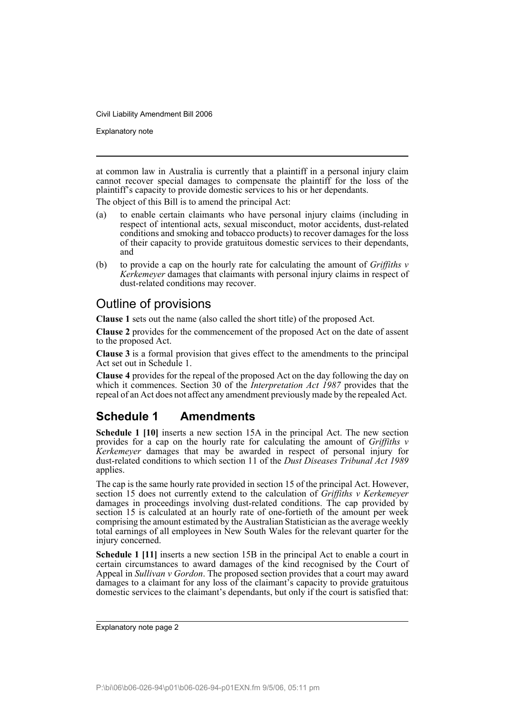Explanatory note

at common law in Australia is currently that a plaintiff in a personal injury claim cannot recover special damages to compensate the plaintiff for the loss of the plaintiff's capacity to provide domestic services to his or her dependants.

The object of this Bill is to amend the principal Act:

- (a) to enable certain claimants who have personal injury claims (including in respect of intentional acts, sexual misconduct, motor accidents, dust-related conditions and smoking and tobacco products) to recover damages for the loss of their capacity to provide gratuitous domestic services to their dependants, and
- (b) to provide a cap on the hourly rate for calculating the amount of *Griffiths v Kerkemeyer* damages that claimants with personal injury claims in respect of dust-related conditions may recover.

### Outline of provisions

**Clause 1** sets out the name (also called the short title) of the proposed Act.

**Clause 2** provides for the commencement of the proposed Act on the date of assent to the proposed Act.

**Clause 3** is a formal provision that gives effect to the amendments to the principal Act set out in Schedule 1.

**Clause 4** provides for the repeal of the proposed Act on the day following the day on which it commences. Section 30 of the *Interpretation Act 1987* provides that the repeal of an Act does not affect any amendment previously made by the repealed Act.

### **Schedule 1 Amendments**

**Schedule 1 [10]** inserts a new section 15A in the principal Act. The new section provides for a cap on the hourly rate for calculating the amount of *Griffiths v Kerkemeyer* damages that may be awarded in respect of personal injury for dust-related conditions to which section 11 of the *Dust Diseases Tribunal Act 1989* applies.

The cap is the same hourly rate provided in section 15 of the principal Act. However, section 15 does not currently extend to the calculation of *Griffiths v Kerkemeyer* damages in proceedings involving dust-related conditions. The cap provided by section 15 is calculated at an hourly rate of one-fortieth of the amount per week comprising the amount estimated by the Australian Statistician as the average weekly total earnings of all employees in New South Wales for the relevant quarter for the injury concerned.

**Schedule 1 [11]** inserts a new section 15B in the principal Act to enable a court in certain circumstances to award damages of the kind recognised by the Court of Appeal in *Sullivan v Gordon*. The proposed section provides that a court may award damages to a claimant for any loss of the claimant's capacity to provide gratuitous domestic services to the claimant's dependants, but only if the court is satisfied that:

Explanatory note page 2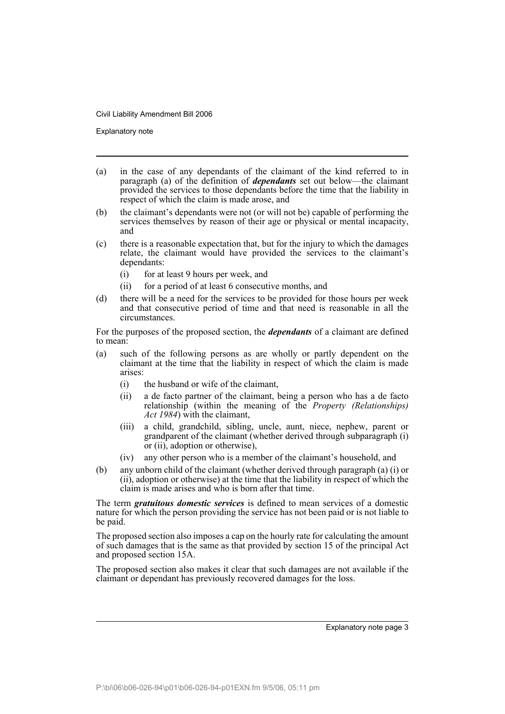Explanatory note

- (a) in the case of any dependants of the claimant of the kind referred to in paragraph (a) of the definition of *dependants* set out below—the claimant provided the services to those dependants before the time that the liability in respect of which the claim is made arose, and
- (b) the claimant's dependants were not (or will not be) capable of performing the services themselves by reason of their age or physical or mental incapacity, and
- (c) there is a reasonable expectation that, but for the injury to which the damages relate, the claimant would have provided the services to the claimant's dependants:
	- (i) for at least 9 hours per week, and
	- (ii) for a period of at least 6 consecutive months, and
- (d) there will be a need for the services to be provided for those hours per week and that consecutive period of time and that need is reasonable in all the circumstances.

For the purposes of the proposed section, the *dependants* of a claimant are defined to mean:

- (a) such of the following persons as are wholly or partly dependent on the claimant at the time that the liability in respect of which the claim is made arises:
	- (i) the husband or wife of the claimant,
	- (ii) a de facto partner of the claimant, being a person who has a de facto relationship (within the meaning of the *Property (Relationships) Act 1984*) with the claimant,
	- (iii) a child, grandchild, sibling, uncle, aunt, niece, nephew, parent or grandparent of the claimant (whether derived through subparagraph (i) or (ii), adoption or otherwise),
	- (iv) any other person who is a member of the claimant's household, and
- (b) any unborn child of the claimant (whether derived through paragraph (a) (i) or (ii), adoption or otherwise) at the time that the liability in respect of which the claim is made arises and who is born after that time.

The term *gratuitous domestic services* is defined to mean services of a domestic nature for which the person providing the service has not been paid or is not liable to be paid.

The proposed section also imposes a cap on the hourly rate for calculating the amount of such damages that is the same as that provided by section 15 of the principal Act and proposed section 15A.

The proposed section also makes it clear that such damages are not available if the claimant or dependant has previously recovered damages for the loss.

Explanatory note page 3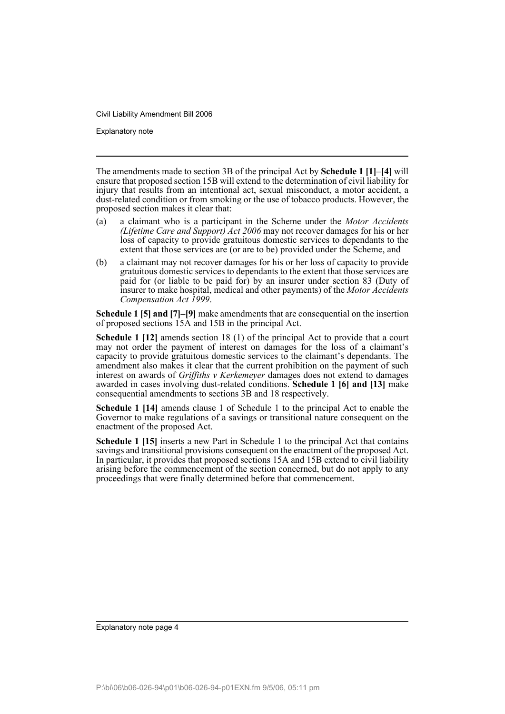Explanatory note

The amendments made to section 3B of the principal Act by **Schedule 1 [1]–[4]** will ensure that proposed section 15B will extend to the determination of civil liability for injury that results from an intentional act, sexual misconduct, a motor accident, a dust-related condition or from smoking or the use of tobacco products. However, the proposed section makes it clear that:

- (a) a claimant who is a participant in the Scheme under the *Motor Accidents (Lifetime Care and Support) Act 2006* may not recover damages for his or her loss of capacity to provide gratuitous domestic services to dependants to the extent that those services are (or are to be) provided under the Scheme, and
- (b) a claimant may not recover damages for his or her loss of capacity to provide gratuitous domestic services to dependants to the extent that those services are paid for (or liable to be paid for) by an insurer under section 83 (Duty of insurer to make hospital, medical and other payments) of the *Motor Accidents Compensation Act 1999*.

**Schedule 1 [5] and [7]–[9]** make amendments that are consequential on the insertion of proposed sections 15A and 15B in the principal Act.

**Schedule 1 [12]** amends section 18 (1) of the principal Act to provide that a court may not order the payment of interest on damages for the loss of a claimant's capacity to provide gratuitous domestic services to the claimant's dependants. The amendment also makes it clear that the current prohibition on the payment of such interest on awards of *Griffiths v Kerkemeyer* damages does not extend to damages awarded in cases involving dust-related conditions. **Schedule 1 [6] and [13]** make consequential amendments to sections 3B and 18 respectively.

**Schedule 1 [14]** amends clause 1 of Schedule 1 to the principal Act to enable the Governor to make regulations of a savings or transitional nature consequent on the enactment of the proposed Act.

**Schedule 1 [15]** inserts a new Part in Schedule 1 to the principal Act that contains savings and transitional provisions consequent on the enactment of the proposed Act. In particular, it provides that proposed sections 15A and 15B extend to civil liability arising before the commencement of the section concerned, but do not apply to any proceedings that were finally determined before that commencement.

Explanatory note page 4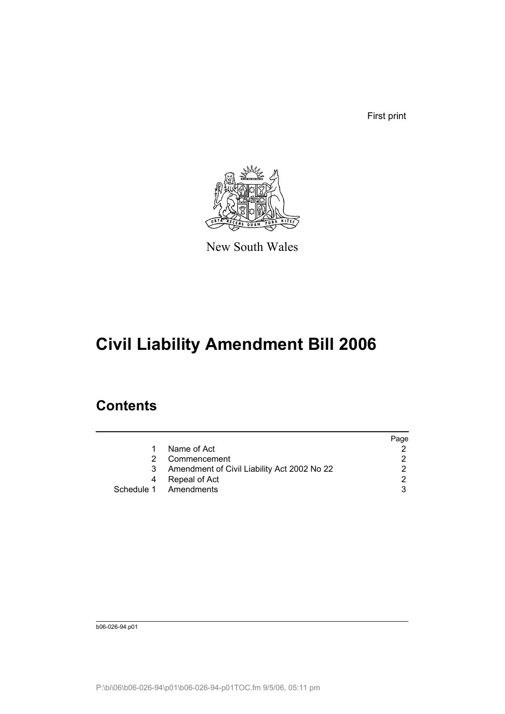First print



New South Wales

# **Civil Liability Amendment Bill 2006**

### **Contents**

|   |                                             | Page          |
|---|---------------------------------------------|---------------|
|   | Name of Act                                 |               |
|   | Commencement                                | 2.            |
| 3 | Amendment of Civil Liability Act 2002 No 22 | $\mathcal{P}$ |
|   | Repeal of Act                               | 2             |
|   | Schedule 1 Amendments                       | 3             |

b06-026-94.p01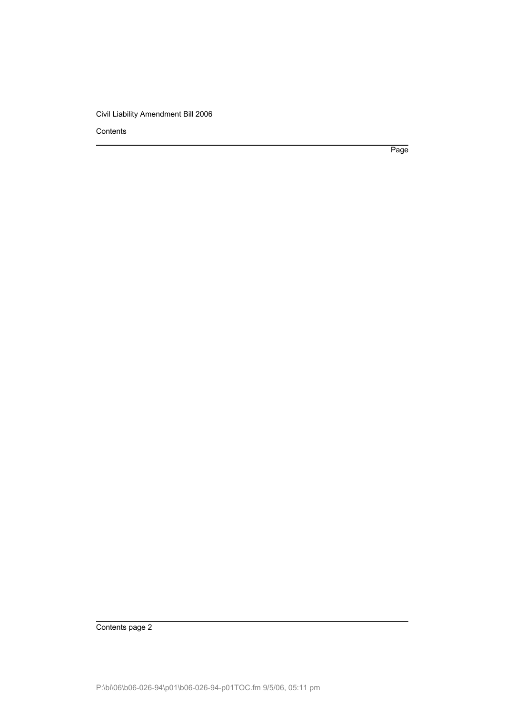Contents

Page

Contents page 2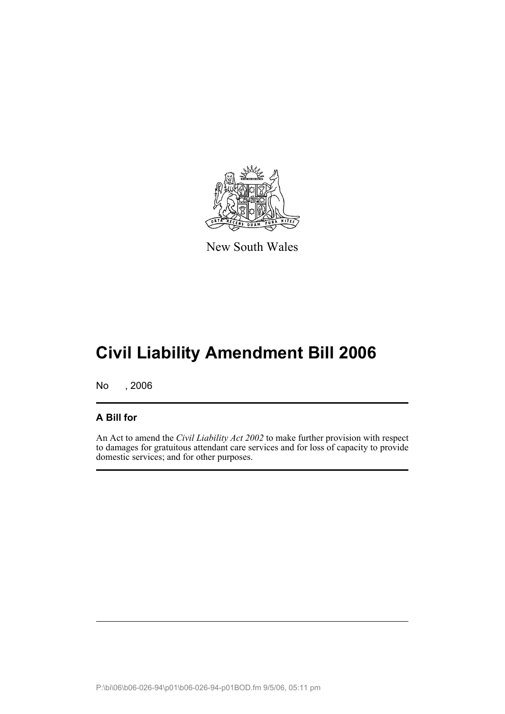

New South Wales

## **Civil Liability Amendment Bill 2006**

No , 2006

### **A Bill for**

An Act to amend the *Civil Liability Act 2002* to make further provision with respect to damages for gratuitous attendant care services and for loss of capacity to provide domestic services; and for other purposes.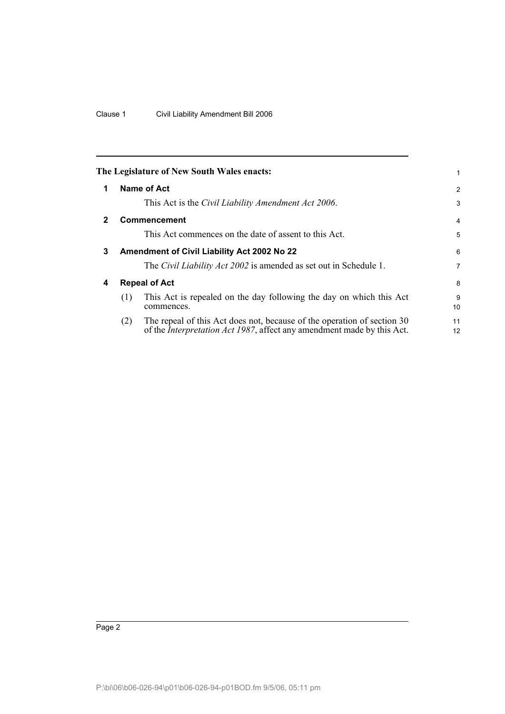<span id="page-7-3"></span><span id="page-7-2"></span><span id="page-7-1"></span><span id="page-7-0"></span>

|              |                                             | The Legislature of New South Wales enacts:                                                                                                                | 1        |  |  |
|--------------|---------------------------------------------|-----------------------------------------------------------------------------------------------------------------------------------------------------------|----------|--|--|
| 1            |                                             | <b>Name of Act</b>                                                                                                                                        | 2        |  |  |
|              |                                             | This Act is the <i>Civil Liability Amendment Act 2006</i> .                                                                                               | 3        |  |  |
| $\mathbf{2}$ |                                             | Commencement                                                                                                                                              | 4        |  |  |
|              |                                             | This Act commences on the date of assent to this Act.                                                                                                     | 5        |  |  |
| 3            | Amendment of Civil Liability Act 2002 No 22 |                                                                                                                                                           |          |  |  |
|              |                                             | The <i>Civil Liability Act 2002</i> is amended as set out in Schedule 1.                                                                                  | 7        |  |  |
| 4            | <b>Repeal of Act</b>                        |                                                                                                                                                           |          |  |  |
|              | (1)                                         | This Act is repealed on the day following the day on which this Act<br>commences.                                                                         | 9<br>10  |  |  |
|              | (2)                                         | The repeal of this Act does not, because of the operation of section 30<br>of the <i>Interpretation Act 1987</i> , affect any amendment made by this Act. | 11<br>12 |  |  |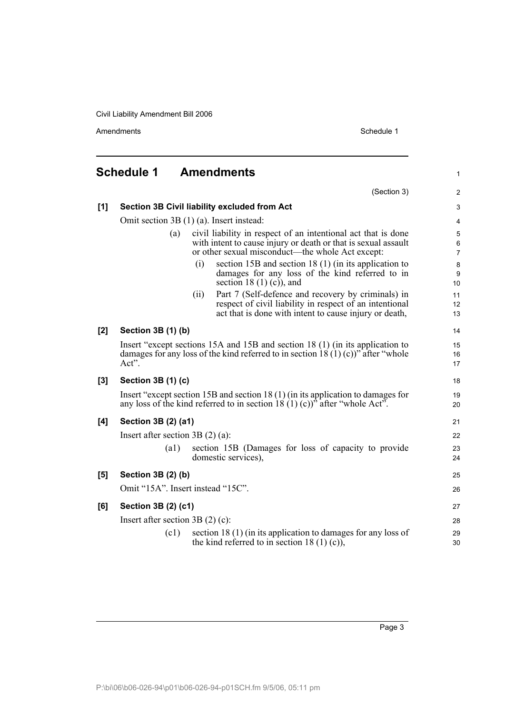Amendments Schedule 1

<span id="page-8-0"></span>

|       | <b>Schedule 1</b>                                                                                                                                                          |                    | <b>Amendments</b>                                                                                                                                                                   | $\mathbf{1}$                       |  |
|-------|----------------------------------------------------------------------------------------------------------------------------------------------------------------------------|--------------------|-------------------------------------------------------------------------------------------------------------------------------------------------------------------------------------|------------------------------------|--|
|       |                                                                                                                                                                            |                    | (Section 3)                                                                                                                                                                         | $\overline{2}$                     |  |
| [1]   | <b>Section 3B Civil liability excluded from Act</b>                                                                                                                        |                    |                                                                                                                                                                                     |                                    |  |
|       | Omit section 3B (1) (a). Insert instead:                                                                                                                                   |                    |                                                                                                                                                                                     |                                    |  |
|       |                                                                                                                                                                            | (a)                | civil liability in respect of an intentional act that is done<br>with intent to cause injury or death or that is sexual assault<br>or other sexual misconduct—the whole Act except: | $\mathbf 5$<br>6<br>$\overline{7}$ |  |
|       |                                                                                                                                                                            | (i)                | section 15B and section 18 $(1)$ (in its application to<br>damages for any loss of the kind referred to in<br>section 18 $(1)$ $(c)$ , and                                          | $\bf 8$<br>9<br>10                 |  |
|       |                                                                                                                                                                            | (ii)               | Part 7 (Self-defence and recovery by criminals) in<br>respect of civil liability in respect of an intentional<br>act that is done with intent to cause injury or death,             | 11<br>12<br>13                     |  |
| [2]   | Section 3B (1) (b)                                                                                                                                                         |                    |                                                                                                                                                                                     |                                    |  |
|       | Insert "except sections 15A and 15B and section 18 (1) (in its application to<br>damages for any loss of the kind referred to in section 18 (1)(c))" after "whole<br>Act". |                    |                                                                                                                                                                                     |                                    |  |
| $[3]$ | Section 3B (1) (c)                                                                                                                                                         |                    |                                                                                                                                                                                     |                                    |  |
|       |                                                                                                                                                                            |                    | Insert "except section 15B and section 18 $(1)$ (in its application to damages for<br>any loss of the kind referred to in section 18 (1) (c))" after "whole Act".                   | 19<br>20                           |  |
| [4]   | Section 3B (2) (a1)                                                                                                                                                        |                    |                                                                                                                                                                                     |                                    |  |
|       | Insert after section $3B(2)(a)$ :                                                                                                                                          |                    |                                                                                                                                                                                     | 22                                 |  |
|       |                                                                                                                                                                            | $\left( a1\right)$ | section 15B (Damages for loss of capacity to provide<br>domestic services),                                                                                                         | 23<br>24                           |  |
| [5]   | Section 3B (2) (b)                                                                                                                                                         |                    |                                                                                                                                                                                     |                                    |  |
|       | Omit "15A". Insert instead "15C".                                                                                                                                          |                    |                                                                                                                                                                                     |                                    |  |
| [6]   | Section 3B (2) (c1)                                                                                                                                                        |                    |                                                                                                                                                                                     |                                    |  |
|       | Insert after section $3B(2)(c)$ :                                                                                                                                          |                    |                                                                                                                                                                                     | 28                                 |  |
|       |                                                                                                                                                                            | (c1)               | section 18 (1) (in its application to damages for any loss of<br>the kind referred to in section 18 (1) (c)),                                                                       | 29<br>30                           |  |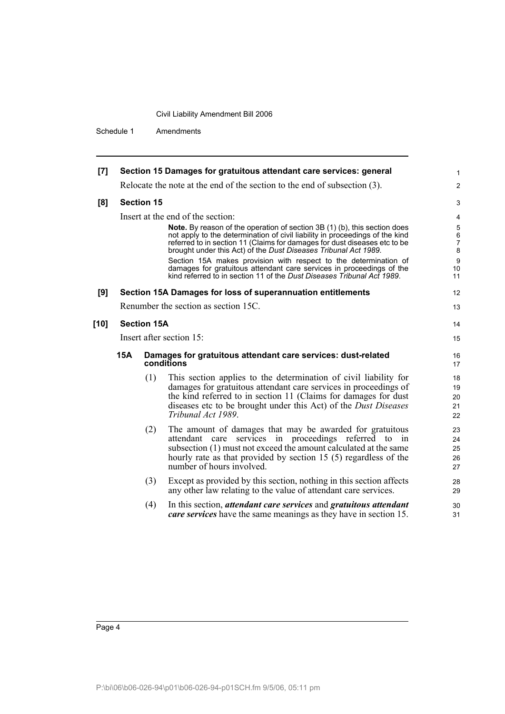Schedule 1 Amendments

| [7]    | Section 15 Damages for gratuitous attendant care services: general                       |                    |                                                                                                                                                                                                                                                                                                                                                                                                                                                       |                                                                                    |  |  |  |
|--------|------------------------------------------------------------------------------------------|--------------------|-------------------------------------------------------------------------------------------------------------------------------------------------------------------------------------------------------------------------------------------------------------------------------------------------------------------------------------------------------------------------------------------------------------------------------------------------------|------------------------------------------------------------------------------------|--|--|--|
|        | Relocate the note at the end of the section to the end of subsection (3).                |                    |                                                                                                                                                                                                                                                                                                                                                                                                                                                       |                                                                                    |  |  |  |
| [8]    | <b>Section 15</b>                                                                        |                    |                                                                                                                                                                                                                                                                                                                                                                                                                                                       |                                                                                    |  |  |  |
|        |                                                                                          |                    | Insert at the end of the section:                                                                                                                                                                                                                                                                                                                                                                                                                     | 4                                                                                  |  |  |  |
|        |                                                                                          |                    | Note. By reason of the operation of section 3B (1) (b), this section does<br>not apply to the determination of civil liability in proceedings of the kind<br>referred to in section 11 (Claims for damages for dust diseases etc to be<br>brought under this Act) of the Dust Diseases Tribunal Act 1989.<br>Section 15A makes provision with respect to the determination of<br>damages for gratuitous attendant care services in proceedings of the | $\mathbf 5$<br>$\boldsymbol{6}$<br>$\boldsymbol{7}$<br>8<br>$\boldsymbol{9}$<br>10 |  |  |  |
|        |                                                                                          |                    | kind referred to in section 11 of the Dust Diseases Tribunal Act 1989.                                                                                                                                                                                                                                                                                                                                                                                | 11                                                                                 |  |  |  |
| [9]    |                                                                                          |                    | Section 15A Damages for loss of superannuation entitlements                                                                                                                                                                                                                                                                                                                                                                                           | 12                                                                                 |  |  |  |
|        |                                                                                          |                    | Renumber the section as section 15C.                                                                                                                                                                                                                                                                                                                                                                                                                  | 13                                                                                 |  |  |  |
| $[10]$ |                                                                                          | <b>Section 15A</b> |                                                                                                                                                                                                                                                                                                                                                                                                                                                       | 14                                                                                 |  |  |  |
|        |                                                                                          |                    | Insert after section 15:                                                                                                                                                                                                                                                                                                                                                                                                                              | 15                                                                                 |  |  |  |
|        | <b>15A</b><br>Damages for gratuitous attendant care services: dust-related<br>conditions |                    |                                                                                                                                                                                                                                                                                                                                                                                                                                                       |                                                                                    |  |  |  |
|        |                                                                                          | (1)                | This section applies to the determination of civil liability for<br>damages for gratuitous attendant care services in proceedings of<br>the kind referred to in section 11 (Claims for damages for dust<br>diseases etc to be brought under this Act) of the <i>Dust Diseases</i><br>Tribunal Act 1989.                                                                                                                                               | 18<br>19<br>20<br>21<br>22                                                         |  |  |  |
|        |                                                                                          | (2)                | The amount of damages that may be awarded for gratuitous<br>services in proceedings referred to<br>attendant<br>care<br>1n<br>subsection (1) must not exceed the amount calculated at the same<br>hourly rate as that provided by section 15 (5) regardless of the<br>number of hours involved.                                                                                                                                                       | 23<br>24<br>25<br>26<br>27                                                         |  |  |  |
|        |                                                                                          | (3)                | Except as provided by this section, nothing in this section affects<br>any other law relating to the value of attendant care services.                                                                                                                                                                                                                                                                                                                | 28<br>29                                                                           |  |  |  |
|        |                                                                                          | (4)                | In this section, <i>attendant care services</i> and <i>gratuitous attendant</i><br><i>care services</i> have the same meanings as they have in section 15.                                                                                                                                                                                                                                                                                            | 30<br>31                                                                           |  |  |  |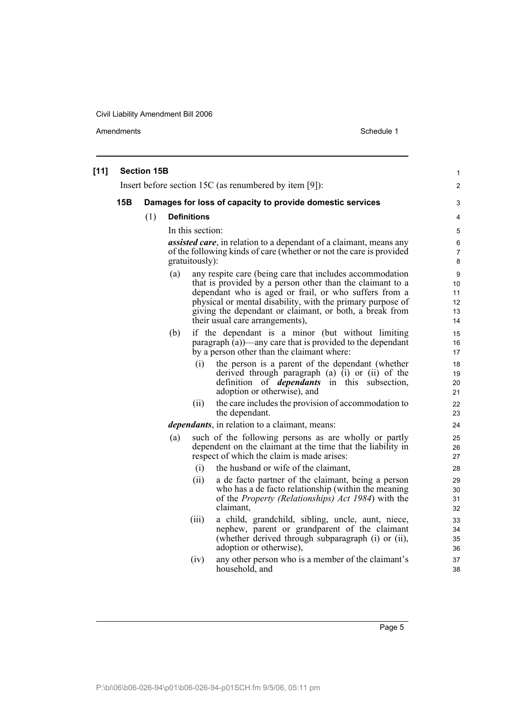Amendments Schedule 1

| $[11]$ |     | <b>Section 15B</b> |     |                    |                                                                                                                                                                                                                                                                                                                                            | 1                                            |
|--------|-----|--------------------|-----|--------------------|--------------------------------------------------------------------------------------------------------------------------------------------------------------------------------------------------------------------------------------------------------------------------------------------------------------------------------------------|----------------------------------------------|
|        |     |                    |     |                    | Insert before section 15C (as renumbered by item [9]):                                                                                                                                                                                                                                                                                     | 2                                            |
|        | 15B |                    |     |                    | Damages for loss of capacity to provide domestic services                                                                                                                                                                                                                                                                                  | 3                                            |
|        |     | (1)                |     | <b>Definitions</b> |                                                                                                                                                                                                                                                                                                                                            | 4                                            |
|        |     |                    |     | In this section:   |                                                                                                                                                                                                                                                                                                                                            | 5                                            |
|        |     |                    |     | gratuitously):     | <b>assisted care</b> , in relation to a dependant of a claimant, means any<br>of the following kinds of care (whether or not the care is provided                                                                                                                                                                                          | 6<br>$\overline{7}$<br>8                     |
|        |     |                    | (a) |                    | any respite care (being care that includes accommodation<br>that is provided by a person other than the claimant to a<br>dependant who is aged or frail, or who suffers from a<br>physical or mental disability, with the primary purpose of<br>giving the dependant or claimant, or both, a break from<br>their usual care arrangements), | 9<br>10<br>11<br>12 <sup>2</sup><br>13<br>14 |
|        |     |                    | (b) |                    | if the dependant is a minor (but without limiting<br>paragraph $(a)$ —any care that is provided to the dependant<br>by a person other than the claimant where:                                                                                                                                                                             | 15<br>16<br>17                               |
|        |     |                    |     | (i)                | the person is a parent of the dependant (whether<br>derived through paragraph $(a)$ $(i)$ or $(ii)$ of the<br>definition of <i>dependants</i> in this subsection,<br>adoption or otherwise), and                                                                                                                                           | 18<br>19<br>20<br>21                         |
|        |     |                    |     | (ii)               | the care includes the provision of accommodation to<br>the dependant.                                                                                                                                                                                                                                                                      | 22<br>23                                     |
|        |     |                    |     |                    | <i>dependants</i> , in relation to a claimant, means:                                                                                                                                                                                                                                                                                      | 24                                           |
|        |     |                    | (a) |                    | such of the following persons as are wholly or partly<br>dependent on the claimant at the time that the liability in<br>respect of which the claim is made arises:                                                                                                                                                                         | 25<br>26<br>27                               |
|        |     |                    |     | (i)                | the husband or wife of the claimant,                                                                                                                                                                                                                                                                                                       | 28                                           |
|        |     |                    |     | (ii)               | a de facto partner of the claimant, being a person<br>who has a de facto relationship (within the meaning<br>of the <i>Property (Relationships) Act 1984</i> ) with the<br>claimant,                                                                                                                                                       | 29<br>30<br>31<br>32                         |
|        |     |                    |     | (iii)              | a child, grandchild, sibling, uncle, aunt, niece,<br>nephew, parent or grandparent of the claimant<br>(whether derived through subparagraph (i) or (ii),<br>adoption or otherwise),                                                                                                                                                        | 33<br>34<br>35<br>36                         |
|        |     |                    |     | (iv)               | any other person who is a member of the claimant's<br>household, and                                                                                                                                                                                                                                                                       | 37<br>38                                     |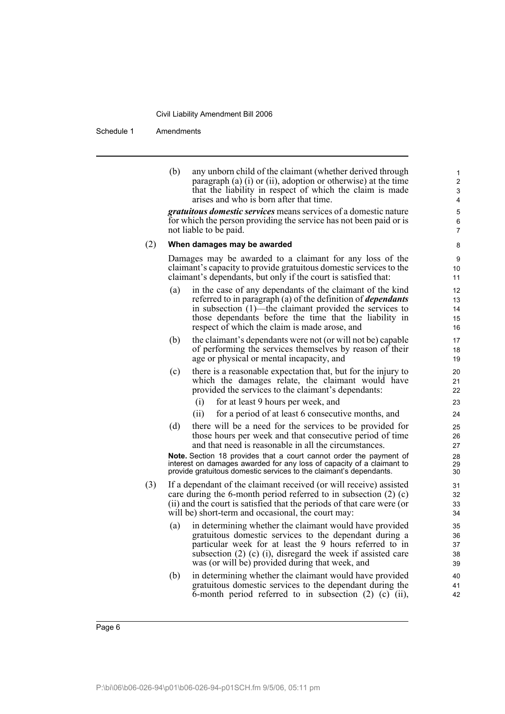Schedule 1 Amendments

(b) any unborn child of the claimant (whether derived through paragraph (a) (i) or (ii), adoption or otherwise) at the time that the liability in respect of which the claim is made arises and who is born after that time.

*gratuitous domestic services* means services of a domestic nature for which the person providing the service has not been paid or is not liable to be paid.

#### (2) **When damages may be awarded**

Damages may be awarded to a claimant for any loss of the claimant's capacity to provide gratuitous domestic services to the claimant's dependants, but only if the court is satisfied that:

- (a) in the case of any dependants of the claimant of the kind referred to in paragraph (a) of the definition of *dependants* in subsection (1)—the claimant provided the services to those dependants before the time that the liability in respect of which the claim is made arose, and
- (b) the claimant's dependants were not (or will not be) capable of performing the services themselves by reason of their age or physical or mental incapacity, and
- (c) there is a reasonable expectation that, but for the injury to which the damages relate, the claimant would have provided the services to the claimant's dependants:
	- (i) for at least 9 hours per week, and
	- (ii) for a period of at least 6 consecutive months, and
- (d) there will be a need for the services to be provided for those hours per week and that consecutive period of time and that need is reasonable in all the circumstances.

**Note.** Section 18 provides that a court cannot order the payment of interest on damages awarded for any loss of capacity of a claimant to provide gratuitous domestic services to the claimant's dependants.

- (3) If a dependant of the claimant received (or will receive) assisted care during the 6-month period referred to in subsection (2) (c) (ii) and the court is satisfied that the periods of that care were (or will be) short-term and occasional, the court may:
	- (a) in determining whether the claimant would have provided gratuitous domestic services to the dependant during a particular week for at least the 9 hours referred to in subsection (2) (c) (i), disregard the week if assisted care was (or will be) provided during that week, and
	- (b) in determining whether the claimant would have provided gratuitous domestic services to the dependant during the 6-month period referred to in subsection (2) (c) (ii),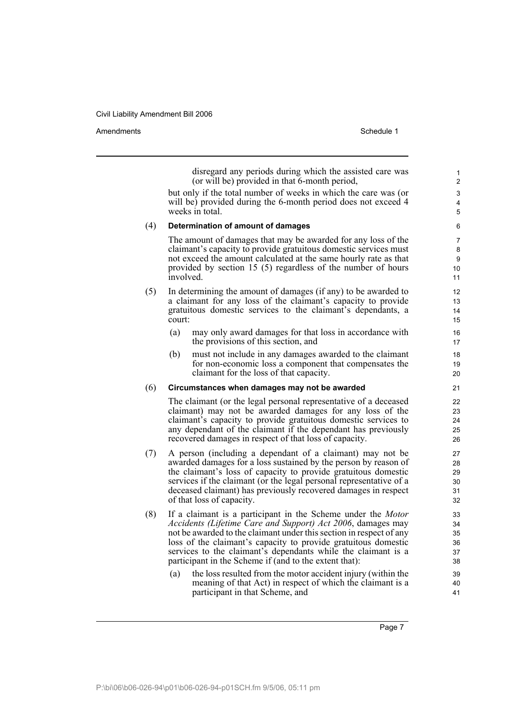Amendments **Amendments** Schedule 1

disregard any periods during which the assisted care was (or will be) provided in that 6-month period,

but only if the total number of weeks in which the care was (or will be) provided during the 6-month period does not exceed 4 weeks in total.

#### (4) **Determination of amount of damages**

The amount of damages that may be awarded for any loss of the claimant's capacity to provide gratuitous domestic services must not exceed the amount calculated at the same hourly rate as that provided by section 15 (5) regardless of the number of hours involved.

- (5) In determining the amount of damages (if any) to be awarded to a claimant for any loss of the claimant's capacity to provide gratuitous domestic services to the claimant's dependants, a court:
	- (a) may only award damages for that loss in accordance with the provisions of this section, and
	- (b) must not include in any damages awarded to the claimant for non-economic loss a component that compensates the claimant for the loss of that capacity.

#### (6) **Circumstances when damages may not be awarded**

The claimant (or the legal personal representative of a deceased claimant) may not be awarded damages for any loss of the claimant's capacity to provide gratuitous domestic services to any dependant of the claimant if the dependant has previously recovered damages in respect of that loss of capacity.

- (7) A person (including a dependant of a claimant) may not be awarded damages for a loss sustained by the person by reason of the claimant's loss of capacity to provide gratuitous domestic services if the claimant (or the legal personal representative of a deceased claimant) has previously recovered damages in respect of that loss of capacity.
- (8) If a claimant is a participant in the Scheme under the *Motor Accidents (Lifetime Care and Support) Act 2006*, damages may not be awarded to the claimant under this section in respect of any loss of the claimant's capacity to provide gratuitous domestic services to the claimant's dependants while the claimant is a participant in the Scheme if (and to the extent that):
	- (a) the loss resulted from the motor accident injury (within the meaning of that Act) in respect of which the claimant is a participant in that Scheme, and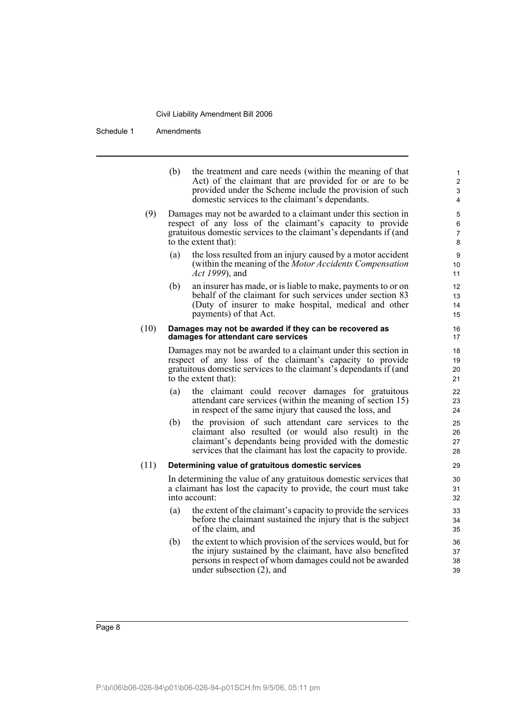Schedule 1 Amendments

(b) the treatment and care needs (within the meaning of that Act) of the claimant that are provided for or are to be provided under the Scheme include the provision of such domestic services to the claimant's dependants.

- (9) Damages may not be awarded to a claimant under this section in respect of any loss of the claimant's capacity to provide gratuitous domestic services to the claimant's dependants if (and to the extent that):
	- (a) the loss resulted from an injury caused by a motor accident (within the meaning of the *Motor Accidents Compensation Act 1999*), and
	- (b) an insurer has made, or is liable to make, payments to or on behalf of the claimant for such services under section 83 (Duty of insurer to make hospital, medical and other payments) of that Act.

#### (10) **Damages may not be awarded if they can be recovered as damages for attendant care services**

Damages may not be awarded to a claimant under this section in respect of any loss of the claimant's capacity to provide gratuitous domestic services to the claimant's dependants if (and to the extent that):

- (a) the claimant could recover damages for gratuitous attendant care services (within the meaning of section 15) in respect of the same injury that caused the loss, and
- (b) the provision of such attendant care services to the claimant also resulted (or would also result) in the claimant's dependants being provided with the domestic services that the claimant has lost the capacity to provide.

#### (11) **Determining value of gratuitous domestic services**

In determining the value of any gratuitous domestic services that a claimant has lost the capacity to provide, the court must take into account:

- (a) the extent of the claimant's capacity to provide the services before the claimant sustained the injury that is the subject of the claim, and
- (b) the extent to which provision of the services would, but for the injury sustained by the claimant, have also benefited persons in respect of whom damages could not be awarded under subsection (2), and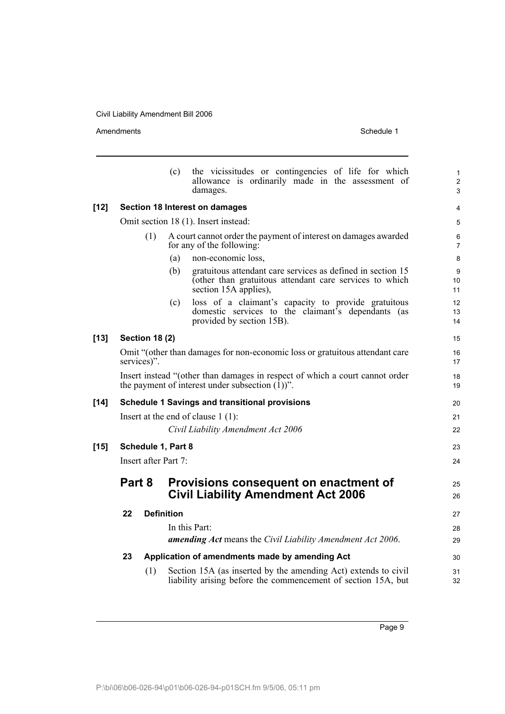Amendments Schedule 1

|        |                                                                                             |     | (c)               | the vicissitudes or contingencies of life for which<br>allowance is ordinarily made in the assessment of<br>damages.                            | $\mathbf{1}$<br>$\overline{c}$<br>3 |  |  |
|--------|---------------------------------------------------------------------------------------------|-----|-------------------|-------------------------------------------------------------------------------------------------------------------------------------------------|-------------------------------------|--|--|
| $[12]$ |                                                                                             |     |                   | <b>Section 18 Interest on damages</b>                                                                                                           | 4                                   |  |  |
|        |                                                                                             |     |                   | Omit section 18 (1). Insert instead:                                                                                                            | 5                                   |  |  |
|        |                                                                                             | (1) |                   | A court cannot order the payment of interest on damages awarded<br>for any of the following:                                                    | 6<br>$\overline{7}$                 |  |  |
|        |                                                                                             |     | (a)               | non-economic loss,                                                                                                                              | 8                                   |  |  |
|        |                                                                                             |     | (b)               | gratuitous attendant care services as defined in section 15<br>(other than gratuitous attendant care services to which<br>section 15A applies), | 9<br>10<br>11                       |  |  |
|        |                                                                                             |     | (c)               | loss of a claimant's capacity to provide gratuitous<br>domestic services to the claimant's dependants (as<br>provided by section 15B).          | 12<br>13<br>14                      |  |  |
| $[13]$ | <b>Section 18 (2)</b>                                                                       |     |                   |                                                                                                                                                 |                                     |  |  |
|        | Omit "(other than damages for non-economic loss or gratuitous attendant care<br>services)". |     |                   |                                                                                                                                                 |                                     |  |  |
|        |                                                                                             |     |                   | Insert instead "(other than damages in respect of which a court cannot order<br>the payment of interest under subsection $(1)$ ".               | 18<br>19                            |  |  |
| $[14]$ | <b>Schedule 1 Savings and transitional provisions</b>                                       |     |                   |                                                                                                                                                 |                                     |  |  |
|        | Insert at the end of clause $1(1)$ :                                                        |     |                   |                                                                                                                                                 |                                     |  |  |
|        |                                                                                             |     |                   | Civil Liability Amendment Act 2006                                                                                                              | 22                                  |  |  |
| $[15]$ | Schedule 1, Part 8                                                                          |     |                   |                                                                                                                                                 |                                     |  |  |
|        | Insert after Part 7:                                                                        |     |                   |                                                                                                                                                 |                                     |  |  |
|        | Part 8                                                                                      |     |                   | Provisions consequent on enactment of<br><b>Civil Liability Amendment Act 2006</b>                                                              | 25<br>26                            |  |  |
|        | 22                                                                                          |     | <b>Definition</b> |                                                                                                                                                 | 27                                  |  |  |
|        |                                                                                             |     |                   | In this Part:<br>amending Act means the Civil Liability Amendment Act 2006.                                                                     | 28<br>29                            |  |  |
|        | 23                                                                                          |     |                   | Application of amendments made by amending Act                                                                                                  | 30                                  |  |  |
|        |                                                                                             | (1) |                   | Section 15A (as inserted by the amending Act) extends to civil<br>liability arising before the commencement of section 15A, but                 | 31<br>32                            |  |  |